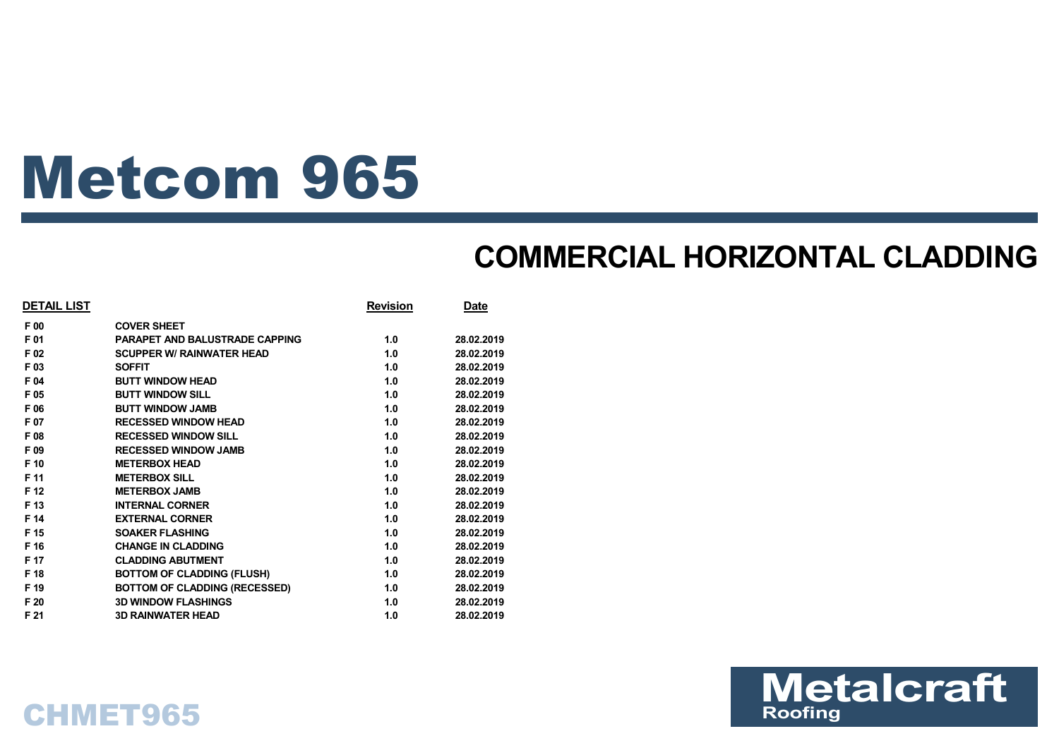# Metcom 965

### **COMMERCIAL HORIZONTAL CLADDING**

| <b>DETAIL LIST</b> |                                       | <b>Revision</b> | <b>Date</b> |
|--------------------|---------------------------------------|-----------------|-------------|
| F 00               | <b>COVER SHEET</b>                    |                 |             |
| F 01               | <b>PARAPET AND BALUSTRADE CAPPING</b> | 1.0             | 28.02.2019  |
| F 02               | <b>SCUPPER W/ RAINWATER HEAD</b>      | 1.0             | 28.02.2019  |
| F 03               | <b>SOFFIT</b>                         | 1.0             | 28.02.2019  |
| F 04               | <b>BUTT WINDOW HEAD</b>               | 1.0             | 28.02.2019  |
| F 05               | <b>BUTT WINDOW SILL</b>               | 1.0             | 28.02.2019  |
| F 06               | <b>BUTT WINDOW JAMB</b>               | 1.0             | 28.02.2019  |
| F 07               | <b>RECESSED WINDOW HEAD</b>           | 1.0             | 28.02.2019  |
| F 08               | <b>RECESSED WINDOW SILL</b>           | 1.0             | 28.02.2019  |
| F 09               | <b>RECESSED WINDOW JAMB</b>           | 1.0             | 28.02.2019  |
| F 10               | <b>METERBOX HEAD</b>                  | 1.0             | 28.02.2019  |
| F 11               | <b>METERBOX SILL</b>                  | 1.0             | 28.02.2019  |
| F 12               | <b>METERBOX JAMB</b>                  | 1.0             | 28.02.2019  |
| F 13               | <b>INTERNAL CORNER</b>                | 1.0             | 28.02.2019  |
| F 14               | <b>EXTERNAL CORNER</b>                | 1.0             | 28.02.2019  |
| F 15               | <b>SOAKER FLASHING</b>                | 1.0             | 28.02.2019  |
| F 16               | <b>CHANGE IN CLADDING</b>             | 1.0             | 28.02.2019  |
| F 17               | <b>CLADDING ABUTMENT</b>              | 1.0             | 28.02.2019  |
| F 18               | <b>BOTTOM OF CLADDING (FLUSH)</b>     | 1.0             | 28.02.2019  |
| F 19               | <b>BOTTOM OF CLADDING (RECESSED)</b>  | 1.0             | 28.02.2019  |
| F 20               | <b>3D WINDOW FLASHINGS</b>            | 1.0             | 28.02.2019  |
| F 21               | <b>3D RAINWATER HEAD</b>              | 1.0             | 28.02.2019  |



### CHMET965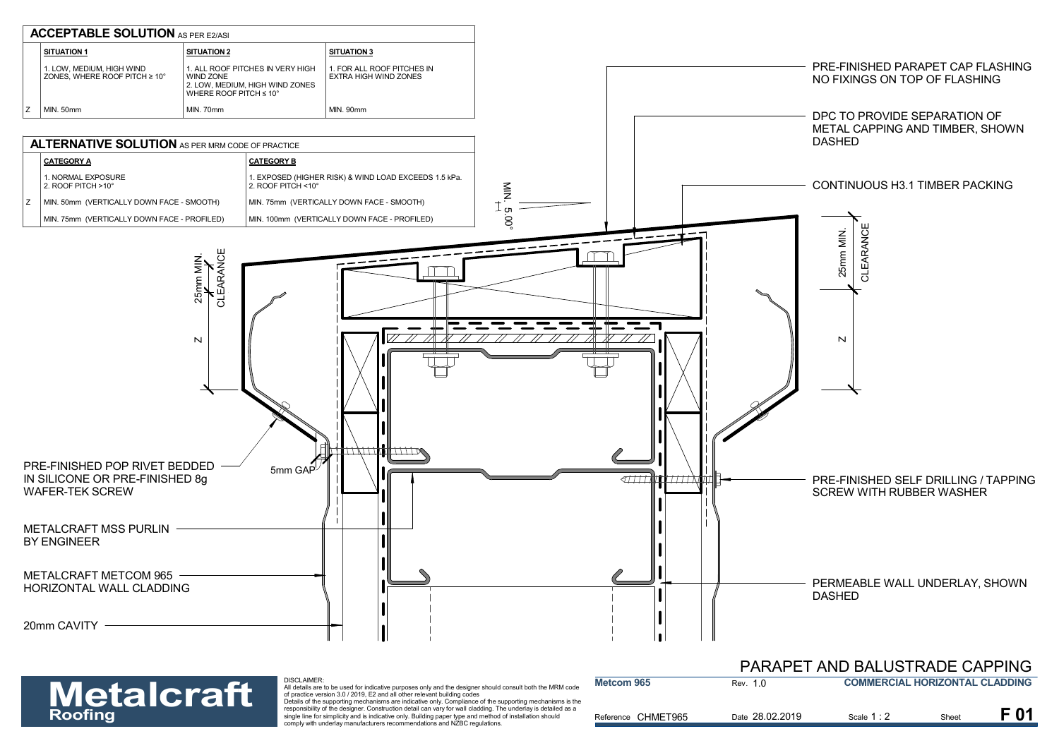

#### PARAPET AND BALUSTRADE CAPPING

| <b>Metalcraft</b> | <b>DISCLAIMER:</b><br>All details are to be used for indicative purposes only and the designer should consult both the MRM code<br>of practice version 3.0 / 2019. E2 and all other relevant building codes                                                                                                                                                                                                       | Metcom 965         | Rev. 1.0        | <b>COMMERCIAL HORIZONTAL CLADDING</b> |       |  |
|-------------------|-------------------------------------------------------------------------------------------------------------------------------------------------------------------------------------------------------------------------------------------------------------------------------------------------------------------------------------------------------------------------------------------------------------------|--------------------|-----------------|---------------------------------------|-------|--|
| <b>Roofing</b>    | Details of the supporting mechanisms are indicative only. Compliance of the supporting mechanisms is the<br>responsibility of the designer. Construction detail can vary for wall cladding. The underlay is detailed as a<br>single line for simplicity and is indicative only. Building paper type and method of installation should<br>comply with underlay manufacturers recommendations and NZBC regulations. | Reference CHMET965 | Date 28.02.2019 | Scale 1 : 2                           | Sheet |  |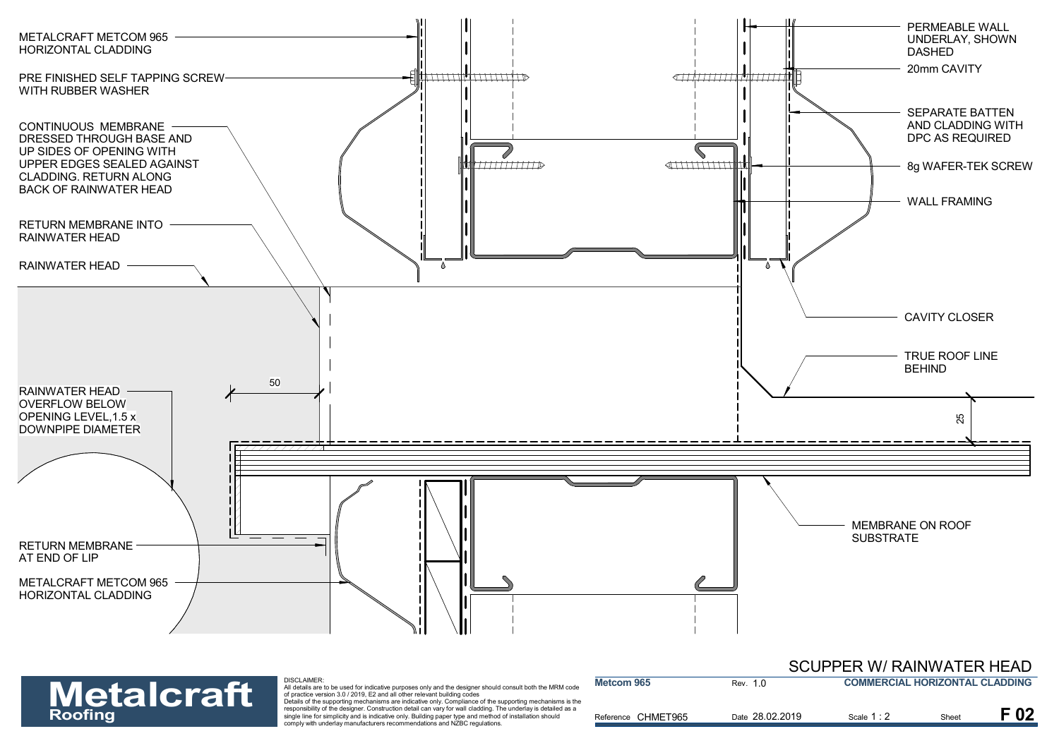

| <b>Metalcraft</b> | DISCLAIMER:<br>All details are to be used for indicative purposes only and the designer should consult both the MRM code<br>of practice version 3.0 / 2019. E2 and all other relevant building codes                                                                                                                                                                                                              | Metcom 965         | Rev. 1.0        | <b>COMMERCIAL HORIZONTAL CLADDING</b> |       |          |
|-------------------|-------------------------------------------------------------------------------------------------------------------------------------------------------------------------------------------------------------------------------------------------------------------------------------------------------------------------------------------------------------------------------------------------------------------|--------------------|-----------------|---------------------------------------|-------|----------|
| <b>Roofing</b>    | Details of the supporting mechanisms are indicative only. Compliance of the supporting mechanisms is the<br>responsibility of the designer. Construction detail can vary for wall cladding. The underlay is detailed as a<br>single line for simplicity and is indicative only. Building paper type and method of installation should<br>comply with underlay manufacturers recommendations and NZBC regulations. | Reference CHMET965 | Date 28.02.2019 | Scale 1:                              | Sheet | $F_{02}$ |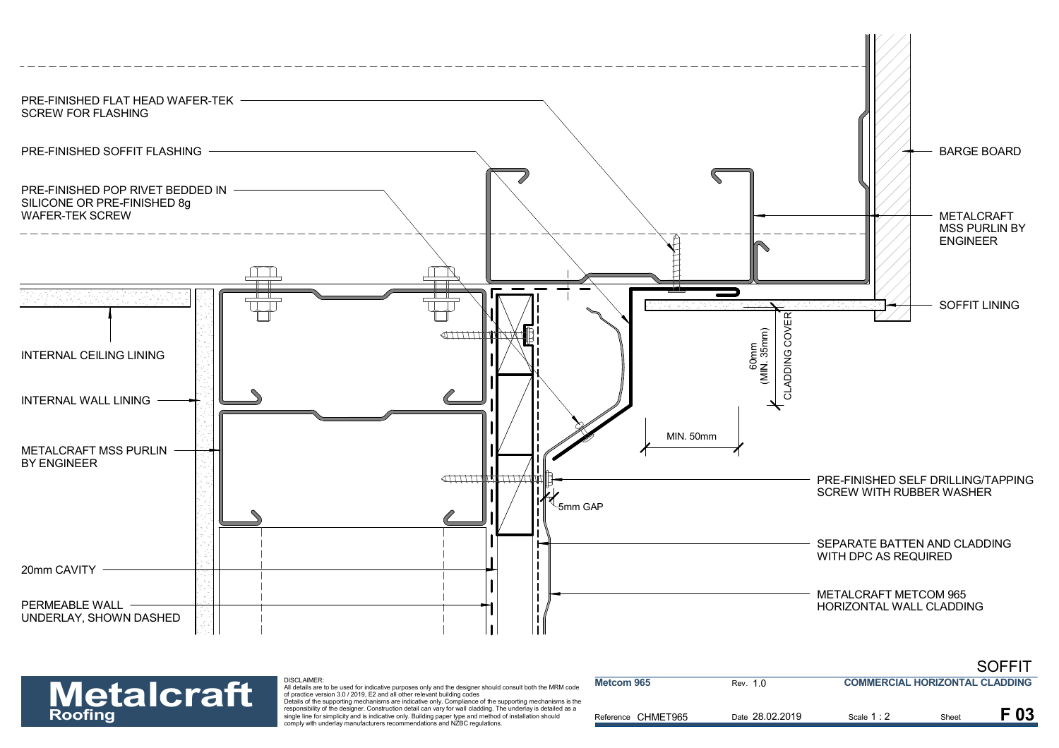

### DISCLAIMER: **Metalcraft**

|                   |                                                                                                                                                                                                                                                                                                                         |                    |                 |                                       |      | ----- |
|-------------------|-------------------------------------------------------------------------------------------------------------------------------------------------------------------------------------------------------------------------------------------------------------------------------------------------------------------------|--------------------|-----------------|---------------------------------------|------|-------|
| <b>Metalcraft</b> | <b>DISCLAIMER:</b><br>All details are to be used for indicative purposes only and the designer should consult both the MRM code<br>of practice version 3.0 / 2019. E2 and all other relevant building codes<br>Details of the supporting mechanisms are indicative only. Compliance of the supporting mechanisms is the | Metcom 965         | Rev. 1.0        | <b>COMMERCIAL HORIZONTAL CLADDING</b> |      |       |
| <b>Roofing</b>    | responsibility of the designer. Construction detail can vary for wall cladding. The underlay is detailed as a<br>single line for simplicity and is indicative only. Building paper type and method of installation should<br>comply with underlay manufacturers recommendations and NZBC regulations.                   | Reference CHMET965 | Date 28.02.2019 | Scale 1 : :                           | Shee | F 03  |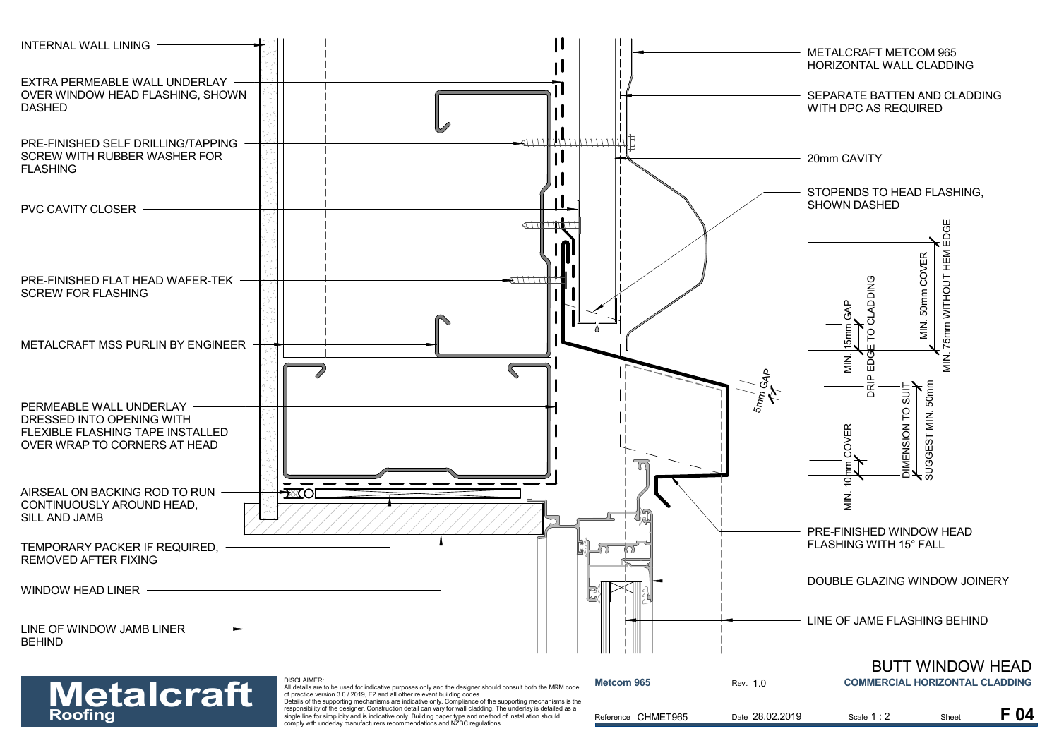

| <b>Metalcraft</b> | DISCLAIMER:<br>All details are to be used for indicative purposes only and the designer should consult both the MRM code<br>of practice version 3.0 / 2019. E2 and all other relevant building codes<br>Details of the supporting mechanisms are indicative only. Compliance of the supporting mechanisms is the | <b>Metcom 965</b>  | Rev. 1.0        | <b>COMMERCIAL HORIZONTAL CLADDING</b> |      |      |
|-------------------|------------------------------------------------------------------------------------------------------------------------------------------------------------------------------------------------------------------------------------------------------------------------------------------------------------------|--------------------|-----------------|---------------------------------------|------|------|
| <b>Roofing</b>    | responsibility of the designer. Construction detail can vary for wall cladding. The underlay is detailed as a<br>single line for simplicity and is indicative only. Building paper type and method of installation should<br>comply with underlay manufacturers recommendations and NZBC regulations.            | Reference CHMET965 | Date 28.02.2019 | Scale 1 : 2                           | Shee | F 04 |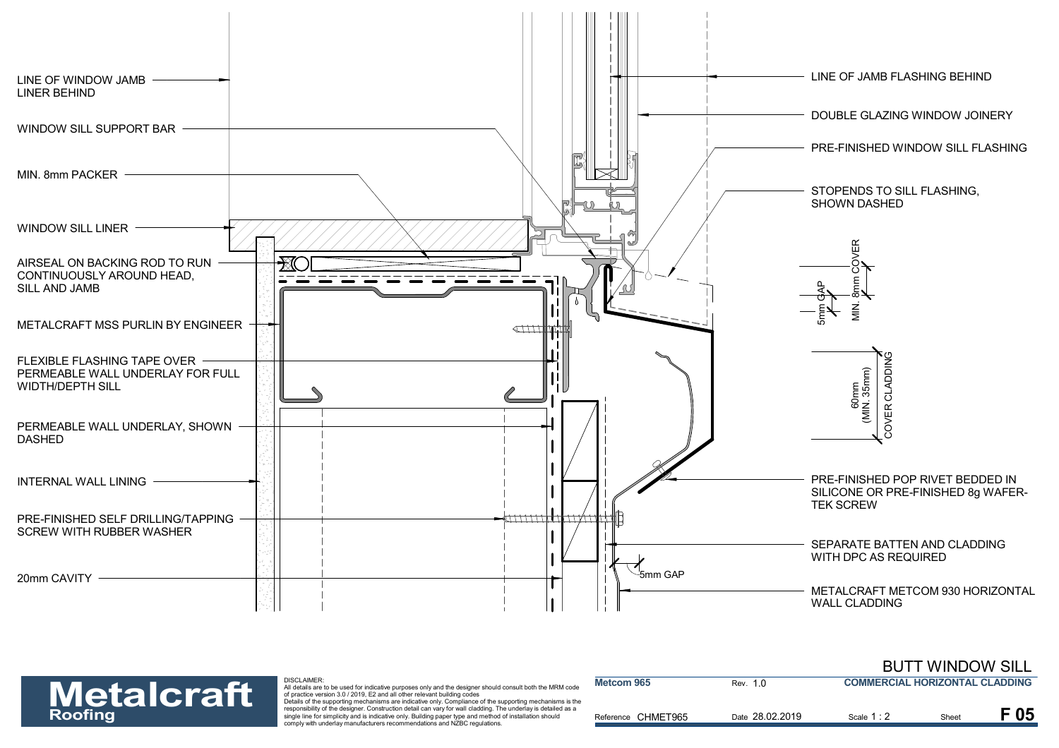

| <b>Metalcraft</b><br><b>Roofing</b> |
|-------------------------------------|
|-------------------------------------|

| <b>Metalcraft</b> | <b>DISCLAIMER:</b><br>All details are to be used for indicative purposes only and the designer should consult both the MRM code<br>of practice version 3.0 / 2019. E2 and all other relevant building codes<br>Details of the supporting mechanisms are indicative only. Compliance of the supporting mechanisms is the | Metcom 965         | Rev. 1.0        | <b>COMMERCIAL HORIZONTAL CLADDING</b> |       |      |
|-------------------|-------------------------------------------------------------------------------------------------------------------------------------------------------------------------------------------------------------------------------------------------------------------------------------------------------------------------|--------------------|-----------------|---------------------------------------|-------|------|
| <b>Roofing</b>    | responsibility of the designer. Construction detail can vary for wall cladding. The underlay is detailed as a<br>single line for simplicity and is indicative only. Building paper type and method of installation should<br>comply with underlay manufacturers recommendations and NZBC regulations.                   | Reference CHMET965 | Date 28.02.2019 | Scale 1:2                             | Sheet | F 05 |

BUTT WINDOW SILL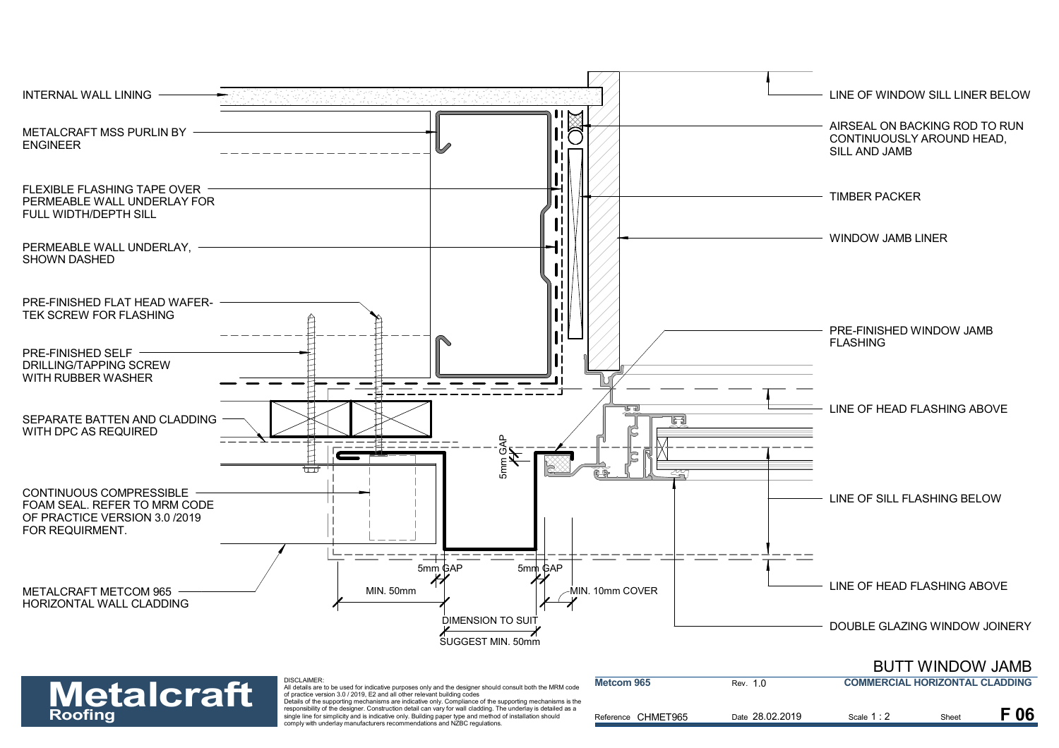

| <b>Roofing</b> | <b>Metalcraft</b> | of practice version 3.0 / 2019. E2 and all other relevant building codes<br>Details of the supporting mechanisms are indicative only. Compliance of the supporting mechanisms is the<br>responsibility of the designer. Construction detail can vary for wall cladding. The underlay is detailed as a<br>single line for simplicity and is indicative only. Building paper type and method of installation should<br>comply with underlay manufacturers recommendations and NZBC regulations. | Reference CHMET965    | Date 28.02.2019 | Scale 1:2                               | Shee | F 06 |
|----------------|-------------------|-----------------------------------------------------------------------------------------------------------------------------------------------------------------------------------------------------------------------------------------------------------------------------------------------------------------------------------------------------------------------------------------------------------------------------------------------------------------------------------------------|-----------------------|-----------------|-----------------------------------------|------|------|
|                |                   | -----------------<br>All details are to be used for indicative purposes only and the designer should consult both the MRM code                                                                                                                                                                                                                                                                                                                                                                | <b>INIGICOIII JOJ</b> | Kev.            | <b>COMMERCIAL HURIZUN I AL CLADDING</b> |      |      |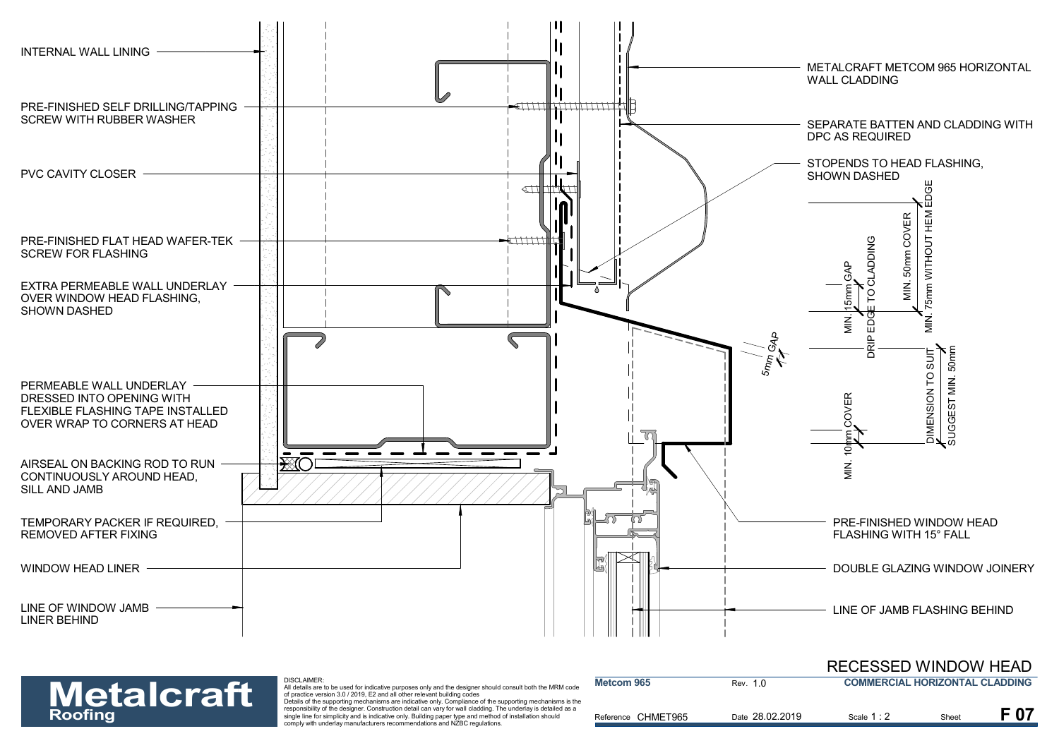![](_page_7_Figure_0.jpeg)

| <b>Metalcraft</b> | DISCLAIMER:<br>All details are to be used for indicative purposes only and the designer should consult both the MRM code<br>of practice version 3.0 / 2019. E2 and all other relevant building codes<br>Details of the supporting mechanisms are indicative only. Compliance of the supporting mechanisms is the | Metcom 965         | Rev. 1.0        | <b>COMMERCIAL HORIZONTAL CLADDING</b> |       |  |
|-------------------|------------------------------------------------------------------------------------------------------------------------------------------------------------------------------------------------------------------------------------------------------------------------------------------------------------------|--------------------|-----------------|---------------------------------------|-------|--|
| <b>Roofing</b>    | responsibility of the designer. Construction detail can vary for wall cladding. The underlay is detailed as a<br>single line for simplicity and is indicative only. Building paper type and method of installation should<br>comply with underlay manufacturers recommendations and NZBC regulations.            | Reference CHMET965 | Date 28.02.2019 | Scale 1 : 2                           | Sheet |  |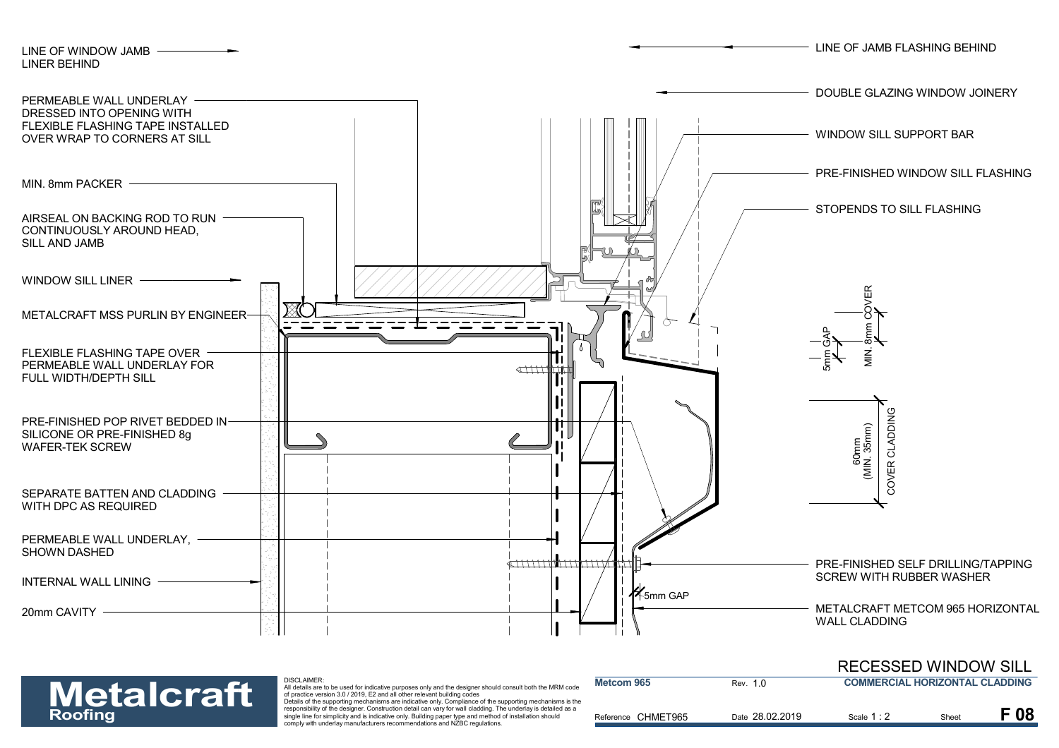![](_page_8_Figure_0.jpeg)

|                   |                                                                                                                                                                                                                                                                                                                  |                    |                 | INLULUULLU IIIIIDUII UILL             |      |      |
|-------------------|------------------------------------------------------------------------------------------------------------------------------------------------------------------------------------------------------------------------------------------------------------------------------------------------------------------|--------------------|-----------------|---------------------------------------|------|------|
| <b>Metalcraft</b> | DISCLAIMER:<br>All details are to be used for indicative purposes only and the designer should consult both the MRM code<br>of practice version 3.0 / 2019. E2 and all other relevant building codes<br>Details of the supporting mechanisms are indicative only. Compliance of the supporting mechanisms is the | Metcom 965         | Rev. 1.0        | <b>COMMERCIAL HORIZONTAL CLADDING</b> |      |      |
| <b>Roofing</b>    | responsibility of the designer. Construction detail can vary for wall cladding. The underlay is detailed as a<br>single line for simplicity and is indicative only. Building paper type and method of installation should<br>comply with underlay manufacturers recommendations and NZBC regulations.            | Reference CHMET965 | Date 28.02.2019 | Scale 1:2                             | Shee | F 08 |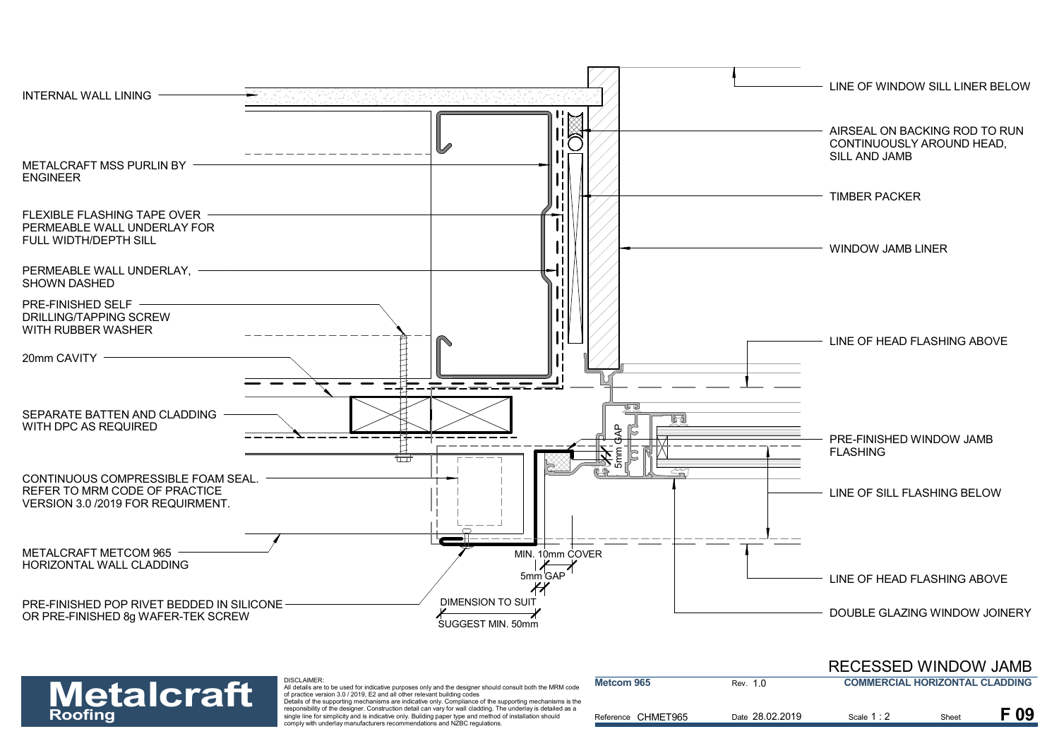![](_page_9_Figure_0.jpeg)

![](_page_9_Picture_1.jpeg)

| <b>Metalcraft</b> | DISCLAIMER:<br>All details are to be used for indicative purposes only and the designer should consult both the MRM code<br>of practice version 3.0 / 2019, E2 and all other relevant building codes<br>Details of the supporting mechanisms are indicative only. Compliance of the supporting mechanisms is the | Metcom 965         | Rev. 1.0        | <b>COMMERCIAL HORIZONTAL CLADDING</b> |       |          |
|-------------------|------------------------------------------------------------------------------------------------------------------------------------------------------------------------------------------------------------------------------------------------------------------------------------------------------------------|--------------------|-----------------|---------------------------------------|-------|----------|
| <b>Roofing</b>    | responsibility of the designer. Construction detail can vary for wall cladding. The underlay is detailed as a<br>single line for simplicity and is indicative only. Building paper type and method of installation should<br>comply with underlay manufacturers recommendations and NZBC regulations.            | Reference CHMET965 | Date 28.02.2019 | Scale 1:                              | Sheet | $E_{09}$ |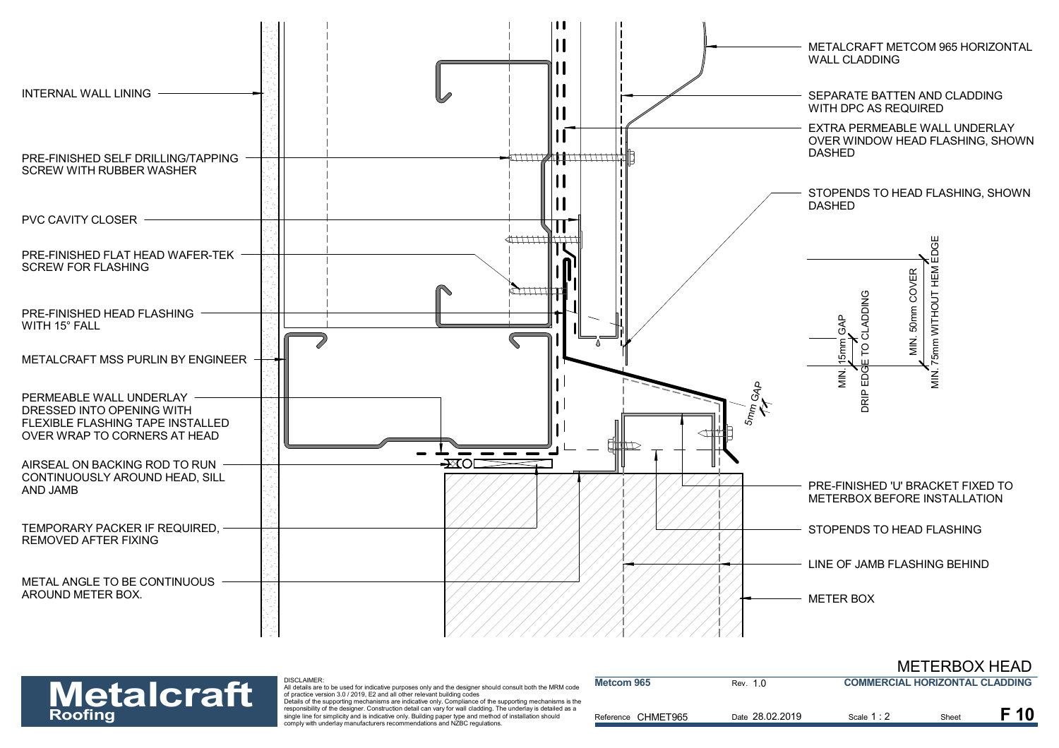![](_page_10_Figure_0.jpeg)

![](_page_10_Picture_1.jpeg)

| <b>Metalcraft</b> | DISCLAIMER:<br>All details are to be used for indicative purposes only and the designer should consult both the MRM code<br>of practice version 3.0 / 2019. E2 and all other relevant building codes                                                                                                                                                                                                              | Metcom 965         | Rev. 1.0        | <b>COMMERCIAL HORIZONTAL CLADDING</b> |       |  |
|-------------------|-------------------------------------------------------------------------------------------------------------------------------------------------------------------------------------------------------------------------------------------------------------------------------------------------------------------------------------------------------------------------------------------------------------------|--------------------|-----------------|---------------------------------------|-------|--|
| <b>Roofing</b>    | Details of the supporting mechanisms are indicative only. Compliance of the supporting mechanisms is the<br>responsibility of the designer. Construction detail can vary for wall cladding. The underlay is detailed as a<br>single line for simplicity and is indicative only. Building paper type and method of installation should<br>comply with underlay manufacturers recommendations and NZBC regulations. | Reference CHMET965 | Date 28.02.2019 | Scale $1:2$                           | Sheet |  |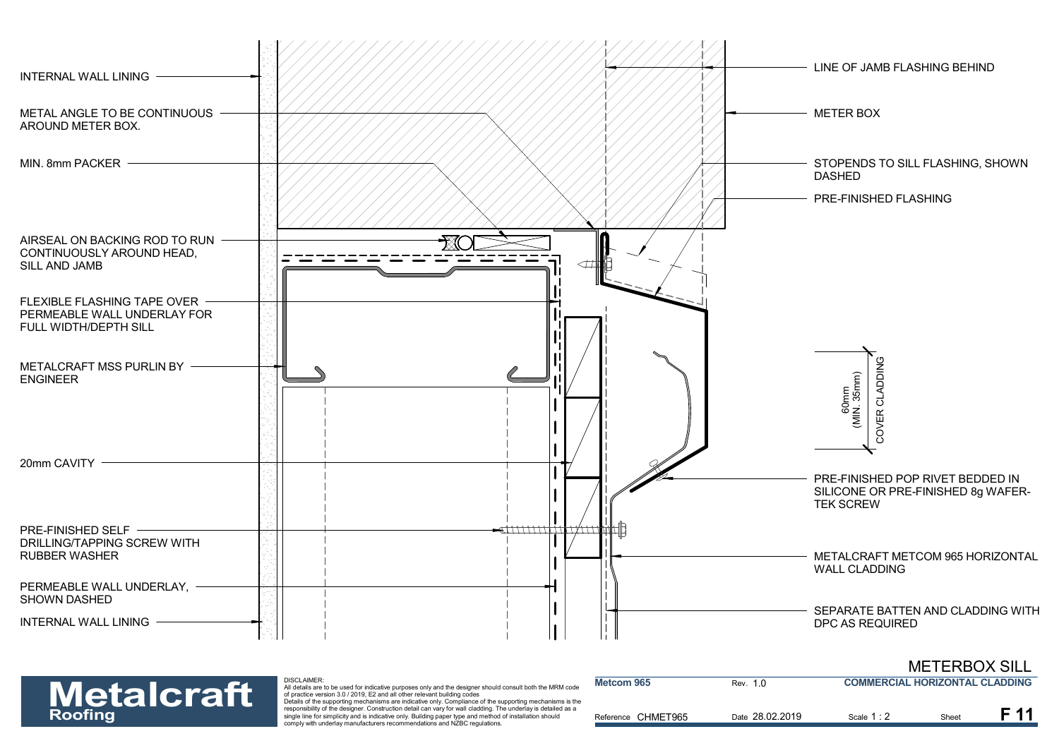![](_page_11_Figure_0.jpeg)

#### METERBOX SILL

![](_page_11_Picture_2.jpeg)

| <b>Metalcraft</b> | DISCLAIMER:<br>All details are to be used for indicative purposes only and the designer should consult both the MRM code<br>of practice version 3.0 / 2019. E2 and all other relevant building codes                                                                                                                                                                                                              | Metcom 965         | Rev. 1.0        | <b>COMMERCIAL HORIZONTAL CLADDING</b> |       |  |
|-------------------|-------------------------------------------------------------------------------------------------------------------------------------------------------------------------------------------------------------------------------------------------------------------------------------------------------------------------------------------------------------------------------------------------------------------|--------------------|-----------------|---------------------------------------|-------|--|
| <b>Roofing</b>    | Details of the supporting mechanisms are indicative only. Compliance of the supporting mechanisms is the<br>responsibility of the designer. Construction detail can vary for wall cladding. The underlay is detailed as a<br>single line for simplicity and is indicative only. Building paper type and method of installation should<br>comply with underlay manufacturers recommendations and NZBC regulations. | Reference CHMET965 | Date 28.02.2019 | Scale $1:$                            | Sheet |  |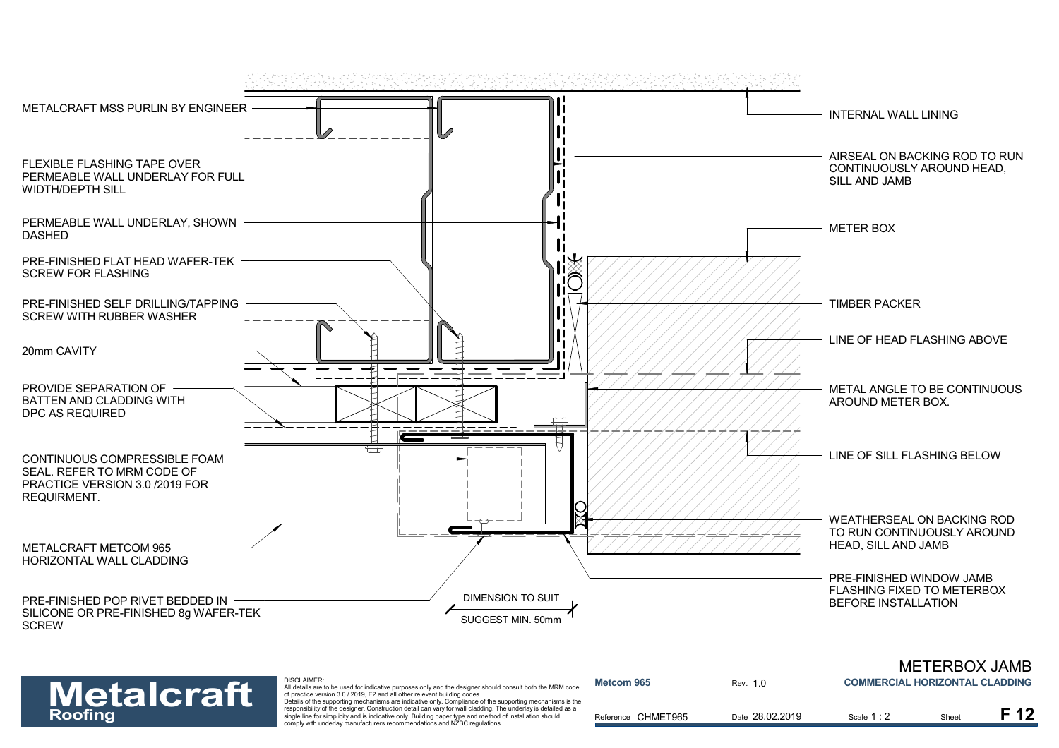![](_page_12_Figure_0.jpeg)

![](_page_12_Picture_1.jpeg)

| <b>Metalcraft</b> | <b>DISCLAIMER:</b><br>All details are to be used for indicative purposes only and the designer should consult both the MRM code<br>of practice version 3.0 / 2019. E2 and all other relevant building codes<br>Details of the supporting mechanisms are indicative only. Compliance of the supporting mechanisms is the | Metcom 965         | Rev. 1.0        | <b>COMMERCIAL HORIZONTAL CLADDING</b> |       |  |
|-------------------|-------------------------------------------------------------------------------------------------------------------------------------------------------------------------------------------------------------------------------------------------------------------------------------------------------------------------|--------------------|-----------------|---------------------------------------|-------|--|
| <b>Roofing</b>    | responsibility of the designer. Construction detail can vary for wall cladding. The underlay is detailed as a<br>single line for simplicity and is indicative only. Building paper type and method of installation should<br>comply with underlay manufacturers recommendations and NZBC regulations.                   | Reference CHMET965 | Date 28.02.2019 | Scale 1:2                             | Sheet |  |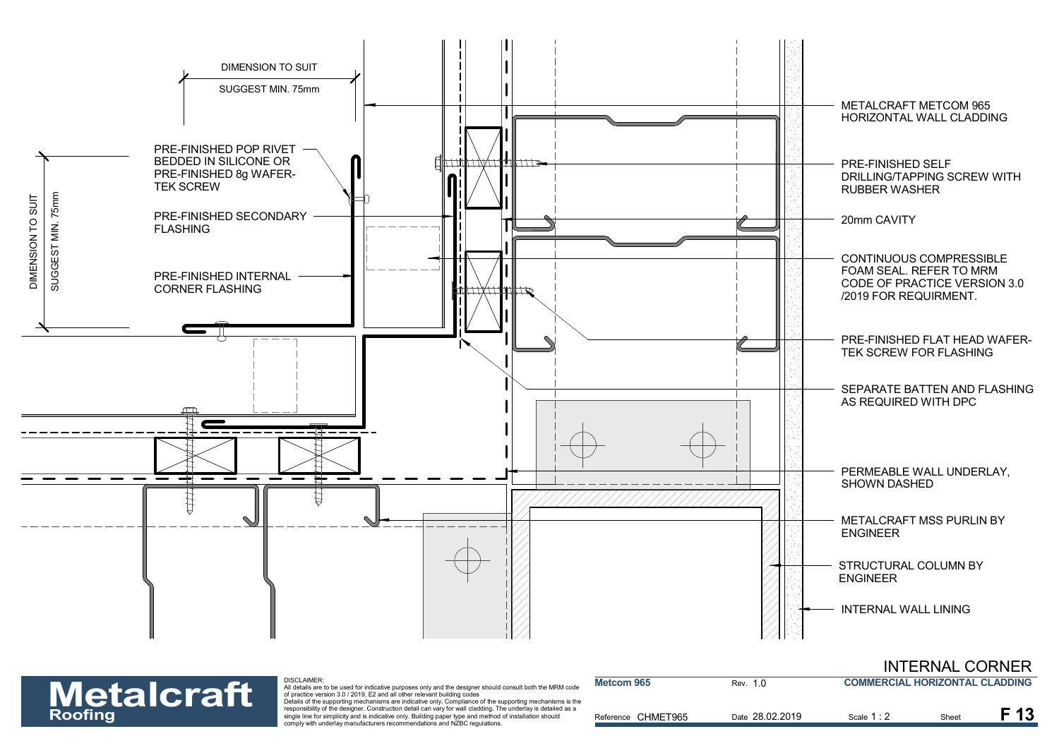![](_page_13_Figure_0.jpeg)

#### INTERNAL CORNER **COMMERCIAL HORIZONTAL CLADDING**

**Metalcraft** 

| <b>Metalcraft</b> | DISCLAIMER:<br>All details are to be used for indicative purposes only and the designer should consult both the MRM code<br>of practice version 3.0 / 2019. E2 and all other relevant building codes<br>Details of the supporting mechanisms are indicative only. Compliance of the supporting mechanisms is the | Metcom 965         | Rev. 1.0        | <b>COMMERCIAL HORIZONTAL CLADDING</b> |       |      |
|-------------------|------------------------------------------------------------------------------------------------------------------------------------------------------------------------------------------------------------------------------------------------------------------------------------------------------------------|--------------------|-----------------|---------------------------------------|-------|------|
| <b>Roofing</b>    | responsibility of the designer. Construction detail can vary for wall cladding. The underlay is detailed as a<br>single line for simplicity and is indicative only. Building paper type and method of installation should<br>comply with underlay manufacturers recommendations and NZBC regulations.            | Reference CHMET965 | Date 28.02.2019 | Scale 1 : 2                           | Sheet | F 13 |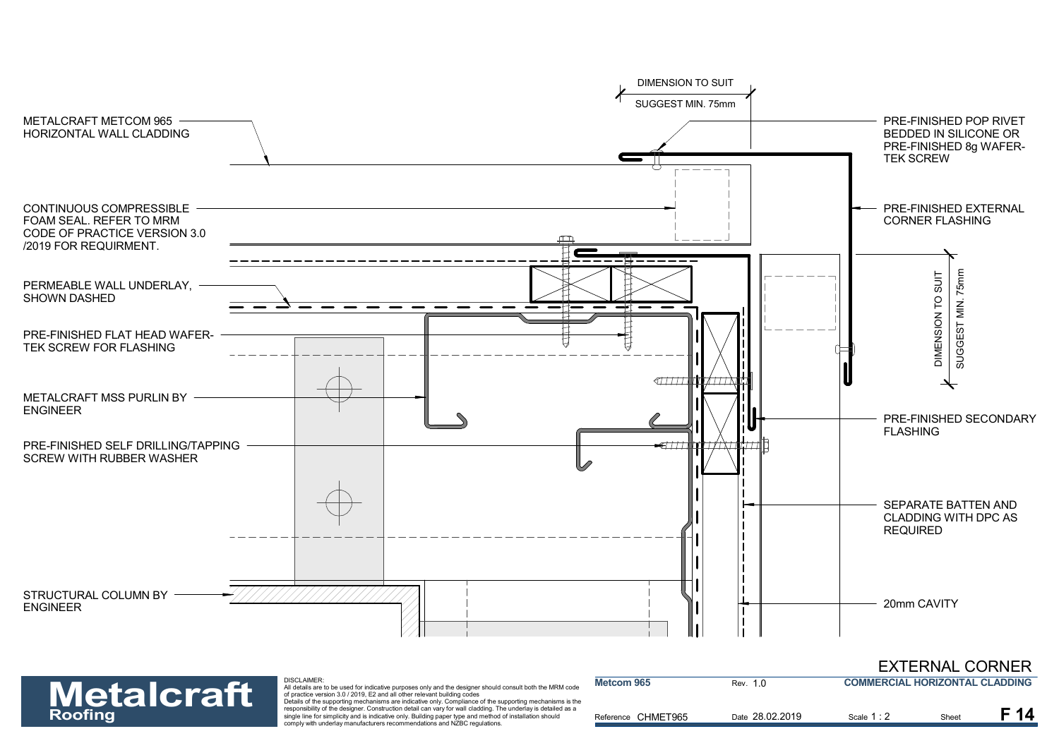![](_page_14_Figure_0.jpeg)

**Metcom 965**

EXTERNAL CORNER **COMMERCIAL HORIZONTAL CLADDING**

**Metalcraft** 

DISCLAIMER:

| <b>Metalcraft</b> | DISCLAIMER:<br>All details are to be used for indicative purposes only and the designer should consult both the MRM code<br>of practice version 3.0 / 2019. E2 and all other relevant building codes<br>Details of the supporting mechanisms are indicative only. Compliance of the supporting mechanisms is the | Metcom 965         | Rev. 1.0        | COMMERCIAL HORIZONTAL CLADDING |       |  |
|-------------------|------------------------------------------------------------------------------------------------------------------------------------------------------------------------------------------------------------------------------------------------------------------------------------------------------------------|--------------------|-----------------|--------------------------------|-------|--|
| <b>Roofing</b>    | responsibility of the designer. Construction detail can vary for wall cladding. The underlay is detailed as a<br>single line for simplicity and is indicative only. Building paper type and method of installation should<br>comply with underlay manufacturers recommendations and NZBC regulations.            | Reference CHMET965 | Date 28.02.2019 | Scale 1:                       | Sheet |  |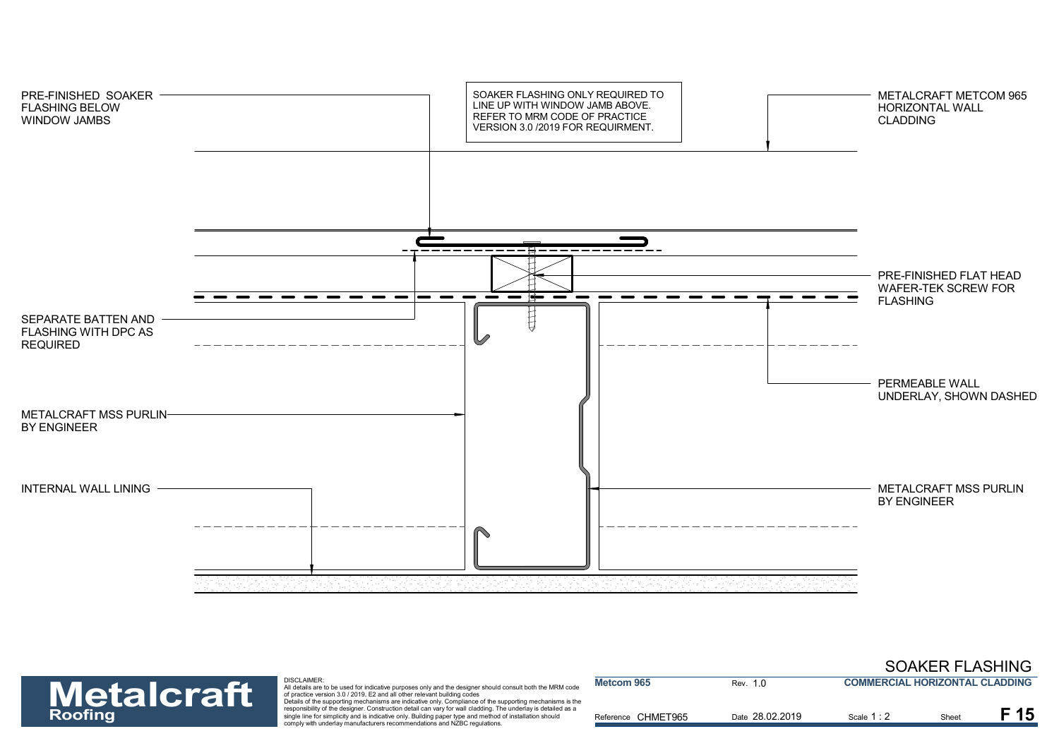![](_page_15_Figure_0.jpeg)

![](_page_15_Picture_1.jpeg)

| <b>Metalcraft</b> | <b>DISCLAIMER:</b><br>All details are to be used for indicative purposes only and the designer should consult both the MRM code<br>of practice version 3.0 / 2019. E2 and all other relevant building codes<br>Details of the supporting mechanisms are indicative only. Compliance of the supporting mechanisms is the | <b>Metcom 965</b>  | Rev. 1.0        | <b>COMMERCIAL HORIZONTAL CLADDING</b> |      |  |
|-------------------|-------------------------------------------------------------------------------------------------------------------------------------------------------------------------------------------------------------------------------------------------------------------------------------------------------------------------|--------------------|-----------------|---------------------------------------|------|--|
| <b>Roofing</b>    | responsibility of the designer. Construction detail can vary for wall cladding. The underlay is detailed as a<br>single line for simplicity and is indicative only. Building paper type and method of installation should<br>comply with underlay manufacturers recommendations and NZBC regulations.                   | Reference CHMET965 | Date 28.02.2019 | Scale 1 : 2                           | Shee |  |

SOAKER FLASHING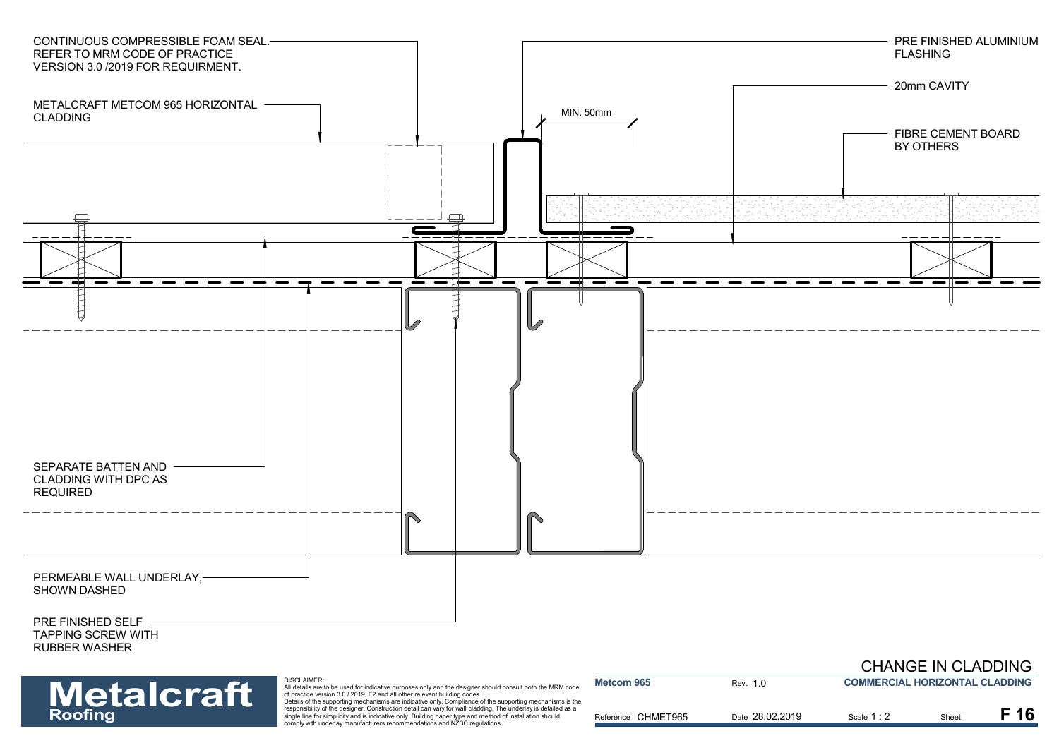![](_page_16_Figure_0.jpeg)

| <b>Metalcraft</b> | DISCLAIMER:<br>All details are to be used for indicative purposes only and the designer should consult both the MRM code<br>of practice version 3.0 / 2019. E2 and all other relevant building codes                                                                                                                                                                                                              | Metcom 965         | Rev. 1.0        | <b>COMMERCIAL HORIZONTAL CLADDING</b> |       |  |
|-------------------|-------------------------------------------------------------------------------------------------------------------------------------------------------------------------------------------------------------------------------------------------------------------------------------------------------------------------------------------------------------------------------------------------------------------|--------------------|-----------------|---------------------------------------|-------|--|
| <b>Roofing</b>    | Details of the supporting mechanisms are indicative only. Compliance of the supporting mechanisms is the<br>responsibility of the designer. Construction detail can vary for wall cladding. The underlay is detailed as a<br>single line for simplicity and is indicative only. Building paper type and method of installation should<br>comply with underlay manufacturers recommendations and NZBC regulations. | Reference CHMET965 | Date 28.02.2019 | Scale 1 : 2                           | Sheet |  |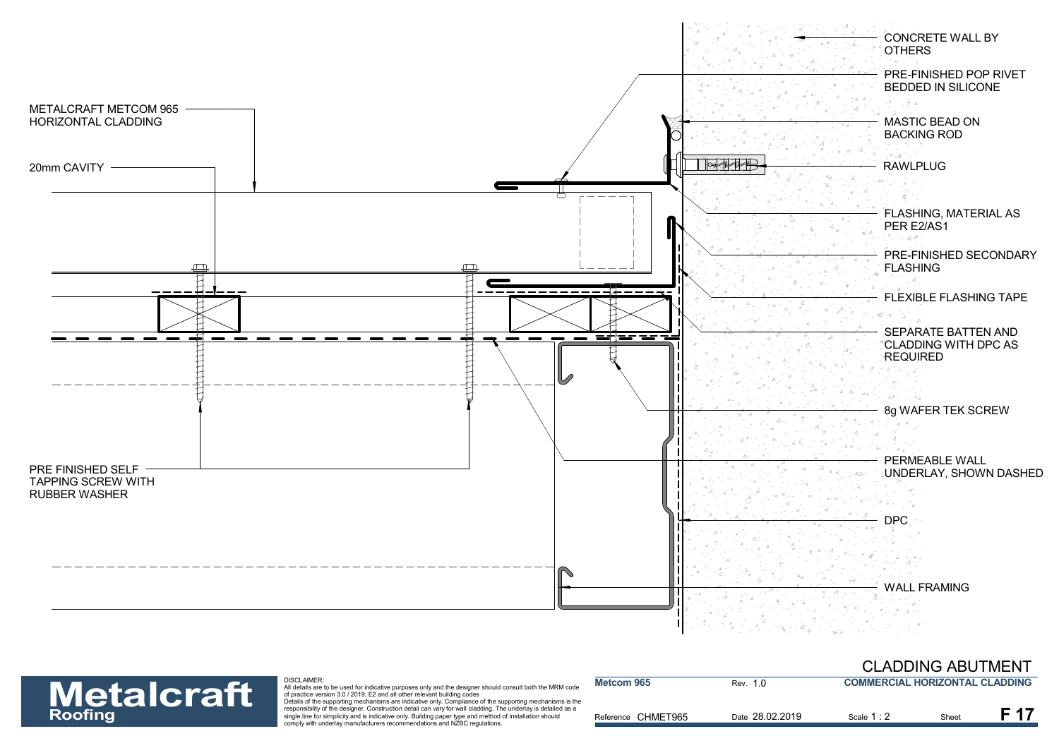![](_page_17_Figure_0.jpeg)

#### CLADDING ABUTMENT

# **Metalcraft**

#### DISCLAIMER:

| <b>Metalcraft</b> | DISCLAIMER:<br>All details are to be used for indicative purposes only and the designer should consult both the MRM code<br>of practice version 3.0 / 2019. E2 and all other relevant building codes<br>Details of the supporting mechanisms are indicative only. Compliance of the supporting mechanisms is the | Metcom 965         | Rev. 1.0        | <b>COMMERCIAL HORIZONTAL CLADDING</b> |       |  |
|-------------------|------------------------------------------------------------------------------------------------------------------------------------------------------------------------------------------------------------------------------------------------------------------------------------------------------------------|--------------------|-----------------|---------------------------------------|-------|--|
| <b>Roofing</b>    | responsibility of the designer. Construction detail can vary for wall cladding. The underlay is detailed as a<br>single line for simplicity and is indicative only. Building paper type and method of installation should<br>comply with underlay manufacturers recommendations and NZBC regulations.            | Reference CHMET965 | Date 28.02.2019 | Scale 1:                              | Sheet |  |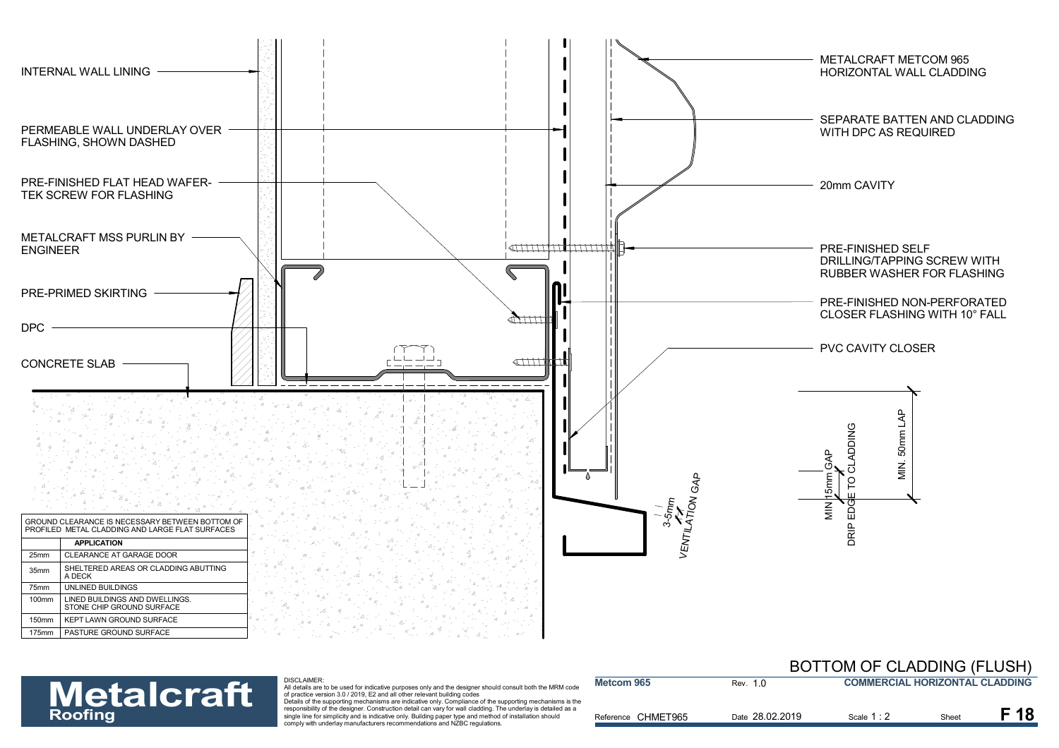![](_page_18_Figure_0.jpeg)

Reference CHMET965

**Metcom 965**

**Metalcraft** 

DISCLAIMER:

All details are to be used for indicative purposes only and the designer should consult both the MRM code<br>of practice version 3.0 / 2019, E2 and all other relevant building codes<br>Details of the supporting mechanisms are in **Roofing** and the signer in the designer. Construction detail can vary for wall cladding. The underlay is detailed as a<br>Simplicity and installation should installate and installation should and the signer type and method o

|          | BUTTUM OF CLADDING (FLUSH)            |
|----------|---------------------------------------|
| Rev. 1.0 | <b>COMMERCIAL HORIZONTAL CLADDING</b> |

Date 28.02.2019 **F 18** 

Scale 1 : 2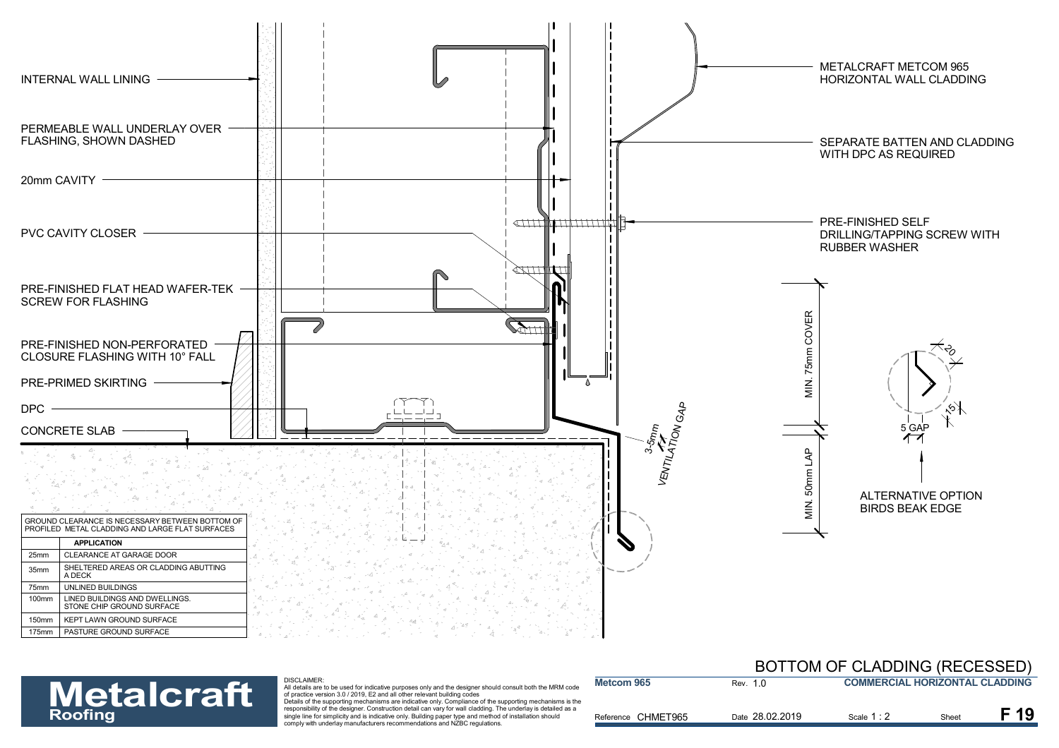![](_page_19_Figure_0.jpeg)

Reference CHMET965

**Metcom 965**

![](_page_19_Picture_1.jpeg)

#### DISCLAIMER:

All details are to be used for indicative purposes only and the designer should consult both the MRM code<br>of practice version 3.0 / 2019, E2 and all other relevant building codes<br>Details of the supporting mechanisms are in

**Roofing** and the signer in the designer. Construction detail can vary for wall cladding. The underlay is detailed as a<br>Simplicity and installation should installate and installation should and the signer type and method o

|          | <b>BUTTUM OF CLADDING (RECESSED)</b>  |
|----------|---------------------------------------|
| Rev. 1 0 | <b>COMMERCIAL HORIZONTAL CLADDING</b> |
|          |                                       |

Scale 1 : 2

28.02.2019 Scale 1 : 2 Sheet **F 19**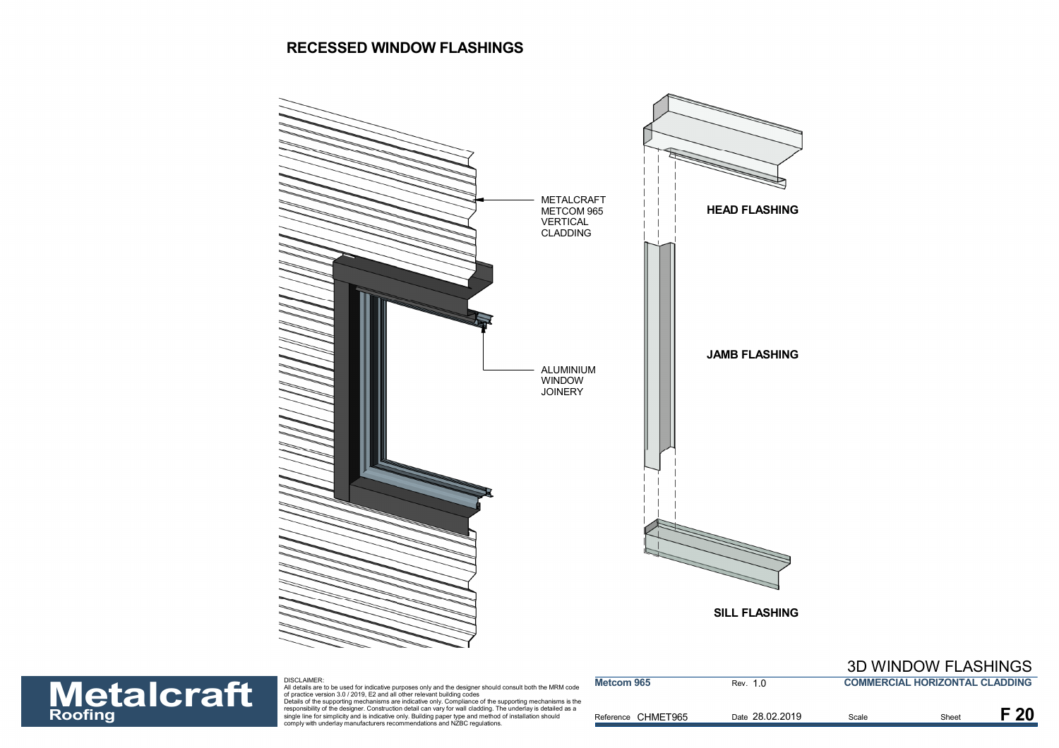#### **RECESSED WINDOW FLASHINGS**

![](_page_20_Figure_1.jpeg)

![](_page_20_Picture_2.jpeg)

| <b>Metalcraft</b> | <b>DISCLAIMER:</b><br>All details are to be used for indicative purposes only and the designer should consult both the MRM code<br>of practice version 3.0 / 2019. E2 and all other relevant building codes<br>Details of the supporting mechanisms are indicative only. Compliance of the supporting mechanisms is the | <b>Metcom 965</b>  | Rev. 1 0        | <b>COMMERCIAL HORIZONTAL CLADDING</b> |       |  |
|-------------------|-------------------------------------------------------------------------------------------------------------------------------------------------------------------------------------------------------------------------------------------------------------------------------------------------------------------------|--------------------|-----------------|---------------------------------------|-------|--|
| <b>Roofing</b>    | responsibility of the designer. Construction detail can vary for wall cladding. The underlay is detailed as a<br>single line for simplicity and is indicative only. Building paper type and method of installation should<br>comply with underlay manufacturers recommendations and NZBC regulations.                   | Reference CHMET965 | Date 28.02.2019 | Scale                                 | Sheet |  |